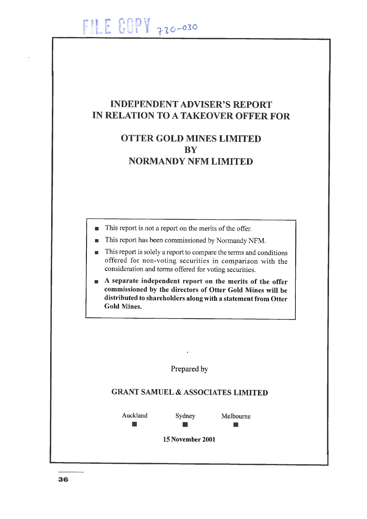# INDEPENDENT ADVISER'S REPORT IN RELATION TO A TAKEOVER OFFER FOR

## OTTER GOLD MINES LIMITED **BY** NORMANDY NFM LIMITED

- This report is not a report on the merits of the offer.  $\blacksquare$
- This report has been commissioned by Normandy NFM.  $\blacksquare$
- This report is solely a report to compare the terms and conditions  $\blacksquare$ offered for non-voting securities in comparison with the consideration and terms ofifered for voting securities.
- $\blacksquare$  A separate independent report on the merits of the offer commissioned by the directors of Otter Gold Mines will be distributed to shareholders aloug with a statement from Otter Gold Mines.

Prepared by

## GRANT SAMUEL & ASSOCIATES LIMITED

Auckland Sydney Melbourne

 $\blacksquare$ 

15 November 2001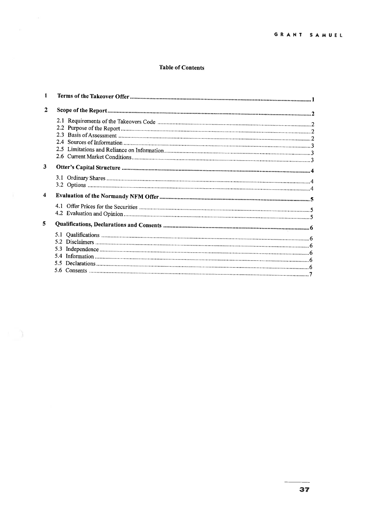### **Table of Contents**

| 1                       |     |
|-------------------------|-----|
| $\mathbf{2}$            |     |
|                         |     |
| 3                       |     |
| $\overline{\mathbf{4}}$ |     |
|                         |     |
|                         |     |
| 5                       |     |
|                         | 5.3 |

 $\gamma$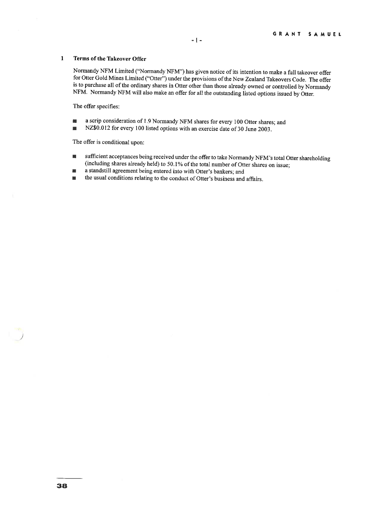#### $\mathbf{1}$ Terms of the Takeover Offer

Normandy NFM Limited ("Normandy NFM") has given notice of its intention to make a full takeover offer for Otter Gold Mines Limited ("Otter") under the provisions of the New Zealand Takeovers Code. The offer is to purchase all of the ordinary shares in Otter other than those already owned or controlled by Normandy NFM. Normandy NFM will also make an offer for all the outstanding listed options issued by Otter.

The offer specifies:

- a scrip consideration of 1.9 Normandy NFM shares for every 100 Otter shares; and
- NZ\$0.012 for every 100 listed options with an exercise date of 30 June 2003.

The offer is conditional upon:

- ullet under the offer to take Normandy NFM's total Otter shareholding (including shares already held) to 50.1% of the total number of Otter shares on issue;
- a standstill agreement being entered into with Otter's bankers; and
- $\blacksquare$  the usual conditions relating to the conduct of Otter's business and affairs.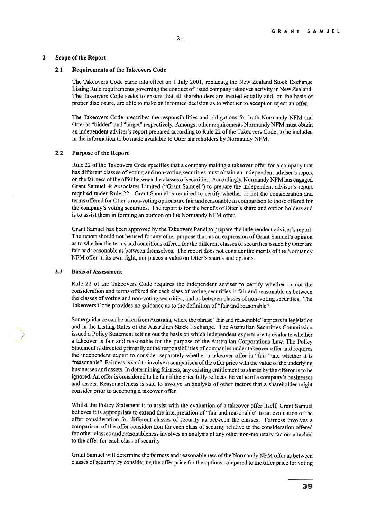#### $\overline{2}$ Scope of the Report

#### 2.1 Requirements of the Takeovers Code

The Takeovers Code came into effect on 1 July 2001, replacing the New Zealand Stock Exchange Listing Rule requirements governing the conduct of listed company takeover activity in New Zealand. The Takeovers Code seeks to ensure that all shareholders are treated equally and, on the basis of proper disclosure, are able to make an informed decision as to whether to accept or reject an offer.

The Takeovers Code prescribes the responsibilities and obligations for both Normandy NFM and Otter as "bidder" and "target" respectively. Amongst other requirements Normandy NFM must obtain an independent adviser's report prepared according to Rule 22 of the Takeovers Code, to be included in the information to be made available to Otter shareholders by Normandy NFM.

#### 2.2 Purpose of the Report

Rule 22 of the Takeovers Code specifies that a company making a takeover offer for a company that has different classes of voting and non-voting securities must obtain an independent adviser's report on the fairness of the offer between the classes of securities. Accordingly, Normandy NFM has engaged Grant Samuel & Associates Limited ("Grant Samuel") to prepare the independent adviser's report required under Rule 22. Grant Samuel is required to certify whether or not the consideration and terms offered for Otter's non-voting options are fair and reasonable in comparison to those offered for the company's voting securities. The report is for the benefit of Otter's share and option holders and is to assist them in forming an opinion on the Normandy NFM offer.

Grant Samuel has been approved by the Takeovers Panel to prepare the independent adviser's report. The report should not be used for any other purpose than as an expression of Grant Samuel's opinion as to whether the terms and conditions offered for the different classes of securities issued by Otter are fair and reasonable as between themselves. The report does not consider the merits of the Normandy NFM offer in its own right, nor places a value on Otter's shares and options.

#### 2.3 Basis of Assessment

Rule 22 of the Takeovers Code requires the independent adviser to certify whether or not the consideration and terms offered for each class of voting securities is fair and reasonable as between the classes of voting and non-voting securities, and as between classes of non-voting securities. The Takeovers Code provides no guidance as to the defmition of "fair and reasonable".

Some guidance can be taken from Australia, where the phrase "fair and reasonable" appears in legislation and in the Listing Rules of the Australian Stock Exchange. The Australian Securities Commission issued a Policy Statement setting out the basis on which independent experts are to evaluate whether a takeover is fair and reasonable for the purpose of the Australian Corporations Law. The Policy Statement is directed primarily at the responsibilities of companies under takeover offer and requires the independent expert to consider separately whether a takeover offer is "fair" and whether it is "reasonable". Fairness is said to involve a comparison of the offer price with the value of the underlying businesses and assets. In determining fairness, any existing entitlement to shares by the offeror is to be ignored. An offer is considered to be fair if the price fully reflects the value of a company's businesses and assets. Reasonableness is said to involve an analysis of other factors that a shareholder might consider prior to accepting a takeover offer.

Whilst the Policy Statement is to assist with the evaluation of a takeover offer itself, Grant Samuel believes it is appropriate to extend the interpretation of "fair and reasonable" to an evaluation of the offer consideration for different classes of security as between the classes. Fairness involves a comparison of the offer consideration for each class of security relative to the consideration offered for other classes and reasonableness involves an analysis of any other non-monetary factors attached to the offer for each class of security.

Grant Samuel will determine the fairness and reasonableness of the Normandy NFM offer as between classes of security by considering the offer price for the options compared to the offer price for voting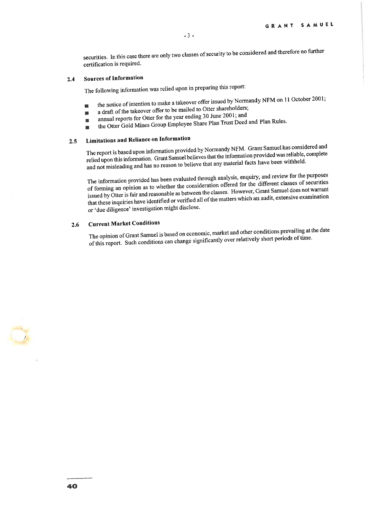securities. In this case there are only two classes of security to be considered and therefore no further certification is required.

## 2.4 Sources of Information

The following information was relied upon in preparing this report:

- $\blacksquare$  the notice of intention to make a takeover offer issued by Normandy NFM on 11 October 2001;
- a draft of the takeover offer to be mailed to Otter shareholders;
- annual reports for Otter for the year ending 30 June 2001; and 麻
- . the Otter Gold Mmes Group Employee Share Plan Trust Deed and Plan Rules.

## 2.5 Limitations and Reliance on Information

The report is based upon information provided by Normandy NFM. Grant Samuel has considered and relied upon this information. Grant Samuel believes that the information provided was reliable, complete and not misleading and has no reason to believe that any material facts have been withheld.

The information provided has been evaluated through analysis, enquiry, and review for the purposes of forming an opinion as to whether the consideration offered for the different classes of securities issued by Otter is fair and reasonable as between the classes. However, Grant Samuel does not warrant that these inquiries have identified or verified all of the matters which an audit, extensive examination or 'due diligence' investigation might disclose.

## 2.6 Current Market Conditions

The opinion of Grant Samuel is based on economic, market and other conditions prevailing at the date of this report. Such conditions can change significantly over relatively short periods of tune.

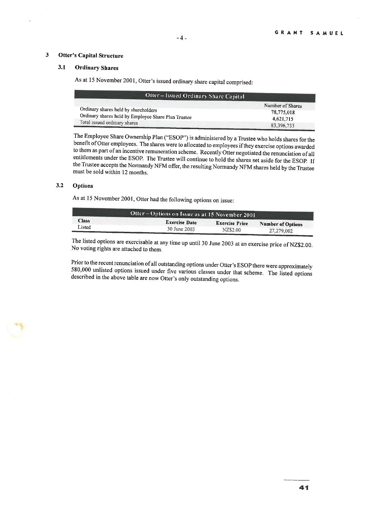### 3 Otter's Capital Structure

#### 3.1 Ordinary Shares

As at 15 November 2001, Otter's issued ordinary share capital comprised:

| <b>Otter-Issued Ordinary Share Capital</b>                                                  |                                             |
|---------------------------------------------------------------------------------------------|---------------------------------------------|
| Ordinary shares held by shareholders<br>Ordinary shares held by Employce Share Plan Trustee | Number of Shares<br>78,775,018<br>4.621.715 |
| Total issued ordinary shares                                                                | 83,396,733                                  |

The Employee Share Ownership Plan ("ESOP") is administered by a Trustee who holds shares for the benefit of Otter employees. The shares were to allocated to employees if they exercise options awarded to them as part of an mcentive remuneration scheme. Recently Otter negotiated the renunciation of all entitlements under the ESOP. The Trustee will continue to hold the shares set aside for the ESOP. If the Tmstee accepts the Normandy NFM offer, the resulting Normandy NFM shares held by the Trustee must be sold within 12 months.

#### 3.2 Options

As at 15 November 2001, Otter had the following options on issue:

| Otter - Options on Issue as at 15 November 2001 |                      |                       |                   |  |  |
|-------------------------------------------------|----------------------|-----------------------|-------------------|--|--|
| <b>Class</b><br>Listed                          | <b>Exercise Date</b> | <b>Exercise Price</b> | Number of Options |  |  |
|                                                 | 30 June 2003         | NZ\$2.00              | 27,279,002        |  |  |

The listed options are exercisable at any time up until 30 June 2003 at an exercise price of NZ\$2.00. No voting rights are attached to them.

Prior to the recent renunciation of all outstanding options under Otter's ESOP there were approximately 580,000 unlisted options issued under five various classes under that scheme. The listed options described in the above table are now Otter's only outstanding options.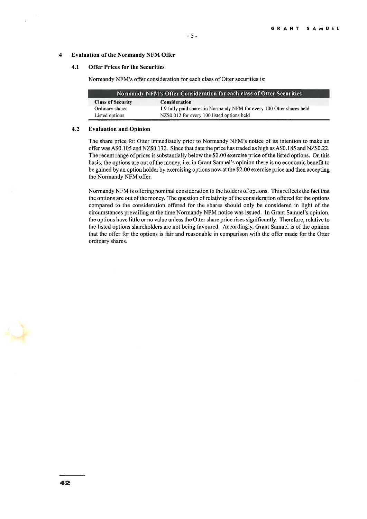#### 4 Evaluation of the Normandy NFM Offer

#### 4.1 Offer Prices for the Securities

Normandy NFM's offer consideration for each class of Otter securities is:

| Normandy NFM's Offer Consideration for each class of Otter Securities |                                                                       |  |  |  |  |
|-----------------------------------------------------------------------|-----------------------------------------------------------------------|--|--|--|--|
| <b>Class of Security</b>                                              | Consideration                                                         |  |  |  |  |
| Ordinary shares                                                       | 1.9 fully paid shares in Normandy NFM for every 100 Otter shares held |  |  |  |  |
| Listed options                                                        | NZ\$0.012 for every 100 listed options held                           |  |  |  |  |

#### 4.2 Evaluation and Opinion

The share price for Otter immediately prior to Normandy NFM's notice of its intention to make an offer was A\$0.105 and NZ\$0.132. Since that date the price has traded as high as A\$0.185 and NZ\$0.22. The recent range of prices is substantially below the \$2.00 exercise price of the listed options. On this basis, the options are out of the money, i.e. m Grant Samuel's opinion there is no economic benefit to be gamed by an option holder by exercising options now at the \$2.00 exercise price and then accepting the Normandy NFM offer.

Nonnandy NFM is offering nominal consideration to the holders of options. This reflects the fact that the options are out of the money. The question of relativity of the consideration offered for the options compared to the consideration offered for the shares should only be considered in light of the circumstances prevailing at the time Normandy NFM notice was issued. In Grant Samuel's opinion, the options have little or no value unless the Otter share price rises significantly. Therefore, relative to the listed options shareholders are not being favoured. Accordingly, Grant Samuel is of the opinion that the offer for the options is fair and reasonable in comparison with the offer made for the Otter ordinary shares.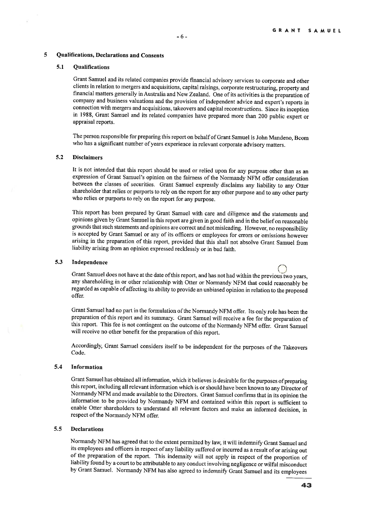#### 5 Qualifications, Declarations and Consents

#### 5.1 Qualifications

Grant Samuel and its related companies provide financial advisory services to corporate and other clients in relation to mergers and acquisitions, capital raismgs, corporate restructuring, property and financial matters generally in Australia and New Zealand. One of its activities is the preparation of company and business valuations and the provision of independent advice and expert's reports in connection with mergers and acquisitions, takeovers and capital reconstructions. Since its inception in 1988 Grant Samuel and its related companies have prepared more than 200 public expert or appraisal reports.

The person responsible for preparing this report on behalf of Grant Samuel is John Mandeno, Bcom who has a significant number of years experience in relevant corporate advisory matters.

#### 5.2 Disclaimers

It is not intended that this report should be used or relied upon for any purpose other than as an expression of Grant Samuel's opinion on the fairness of the Normandy NFM offer consideration between the classes of securities. Grant Samuel expressly disclaims any liability to any Otter shareholder that relies or purports to rely on the report for any other purpose and to any other party who relies or purports to rely on the report for any purpose.

This report has been prepared by Grant Samuel with care and diligence and the statements and opinions given by Grant Samuel in this report are given in good faith and in the belief on reasonable grounds that such statements and opinions are correct and not misleading. However, no responsibility is accepted by Grant Samuel or any of its officers or employees for errors or omissions however arising in the preparation of this report, provided that this shall not absolve Grant Samuel from liability arising from an opinion expressed recklessly or in bad faith.

5.3 Independence<br>Grant Samuel does not have at the date of this report, and has not had within the previous two any shareholding m or other relationship with Otter or Normandy NFM that could reasonably be regarded as capable of affecting its ability to provide an unbiased opinion in relation to the proposed offer.

Grant Samuel had no part in the fonnulation of the Normandy NFM offer. Its only role has been the preparation of this report and its summary. Grant Samuel will receive a fee for the preparation of this report. This fee is not contingent on the outcome of the Normandy NFM offer. Grant Samuel will receive no other benefit for the preparation of this report.

Accordingly, Grant Samuel considers itself to be independent for the purposes of the Takeovers Code.

#### 5.4 Information

Grant Samuel has obtained all information, which it believes is desirable for the purposes of preparing this report, including all relevant information which is or should have been known to any Director of Normandy NFM and made available to the Directors. Grant Samuel confirms that in its opinion the information to be provided by Normandy NFM and contained within this report is sufficient to enable Otter shareholders to understand all relevant factors and make an informed decision, in respect of the Normandy NFM offer.

### 5.5 Declarations

Normandy NFM has agreed that to the extent permitted by law, it will indemnify Grant Samuel and its employees and officers in respect of any liability suffered or incurred as a result of or arising out of the preparation of the report. This indemnity will not apply in respect of the proportion of liability found by a court to be attributable to any conduct involving negligence or wilful misconduct by Grant Samuel. Normandy NFM has also agreed to indemnify Grant Samuel and its employees